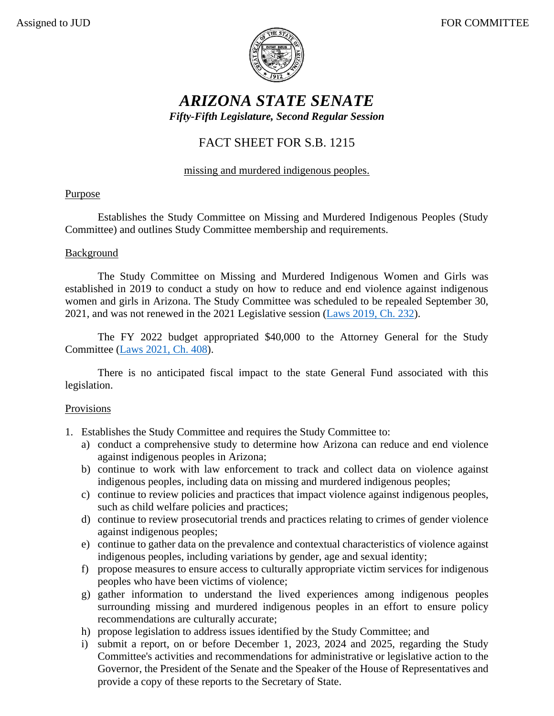

# *ARIZONA STATE SENATE Fifty-Fifth Legislature, Second Regular Session*

## FACT SHEET FOR S.B. 1215

### missing and murdered indigenous peoples.

### Purpose

Establishes the Study Committee on Missing and Murdered Indigenous Peoples (Study Committee) and outlines Study Committee membership and requirements.

### Background

The Study Committee on Missing and Murdered Indigenous Women and Girls was established in 2019 to conduct a study on how to reduce and end violence against indigenous women and girls in Arizona. The Study Committee was scheduled to be repealed September 30, 2021, and was not renewed in the 2021 Legislative session [\(Laws 2019, Ch. 232\)](https://www.azleg.gov/legtext/54leg/1R/laws/0232.pdf).

The FY 2022 budget appropriated \$40,000 to the Attorney General for the Study Committee [\(Laws 2021, Ch.](https://www.azleg.gov/legtext/55leg/1r/laws/0408.htm) 408).

There is no anticipated fiscal impact to the state General Fund associated with this legislation.

### Provisions

- 1. Establishes the Study Committee and requires the Study Committee to:
	- a) conduct a comprehensive study to determine how Arizona can reduce and end violence against indigenous peoples in Arizona;
	- b) continue to work with law enforcement to track and collect data on violence against indigenous peoples, including data on missing and murdered indigenous peoples;
	- c) continue to review policies and practices that impact violence against indigenous peoples, such as child welfare policies and practices;
	- d) continue to review prosecutorial trends and practices relating to crimes of gender violence against indigenous peoples;
	- e) continue to gather data on the prevalence and contextual characteristics of violence against indigenous peoples, including variations by gender, age and sexual identity;
	- f) propose measures to ensure access to culturally appropriate victim services for indigenous peoples who have been victims of violence;
	- g) gather information to understand the lived experiences among indigenous peoples surrounding missing and murdered indigenous peoples in an effort to ensure policy recommendations are culturally accurate;
	- h) propose legislation to address issues identified by the Study Committee; and
	- i) submit a report, on or before December 1, 2023, 2024 and 2025, regarding the Study Committee's activities and recommendations for administrative or legislative action to the Governor, the President of the Senate and the Speaker of the House of Representatives and provide a copy of these reports to the Secretary of State.